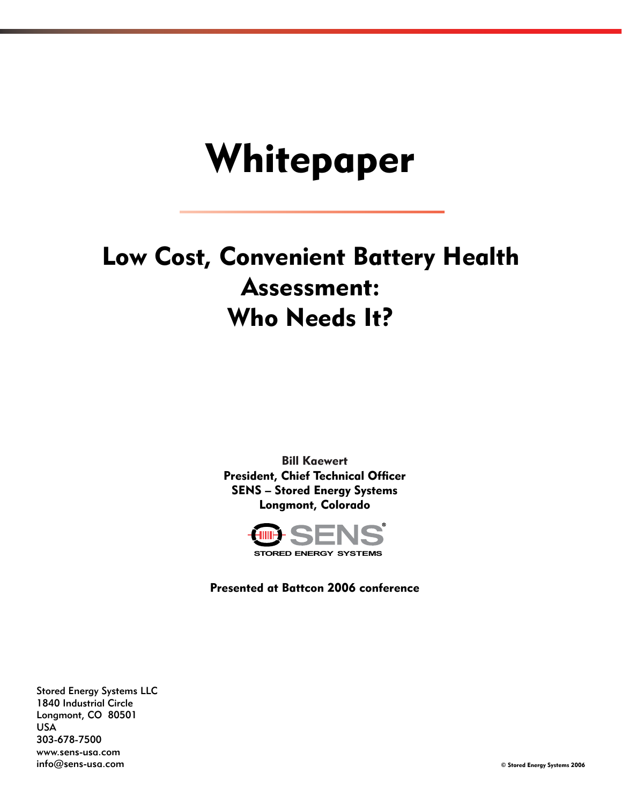# Whitepaper

# Low Cost, Convenient Battery Health Assessment: Who Needs It?

Bill Kaewert President, Chief Technical Officer SENS – Stored Energy Systems Longmont, Colorado



Presented at Battcon 2006 conference

Stored Energy Systems LLC 1840 Industrial Circle Longmont, CO 80501 USA 303-678-7500 www.sens-usa.com info@sens-usa.com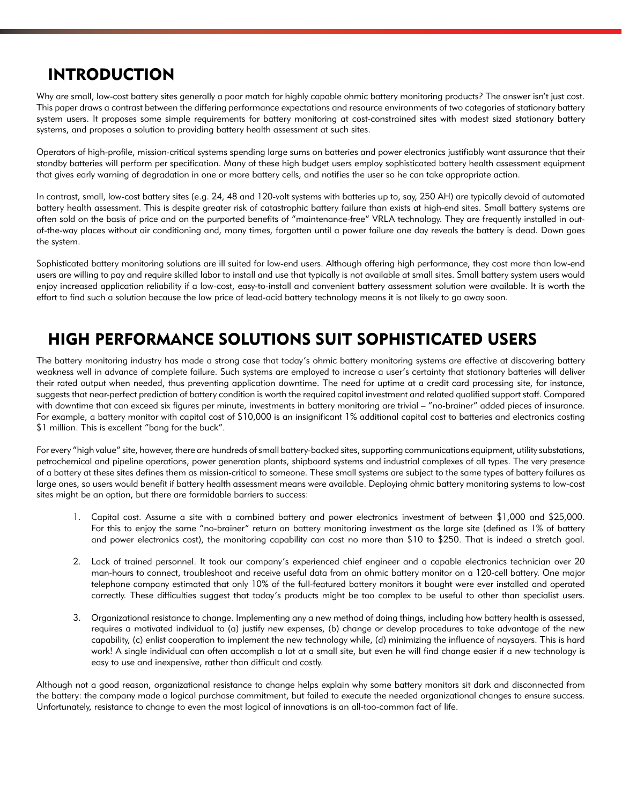# INTRODUCTION

Why are small, low-cost battery sites generally a poor match for highly capable ohmic battery monitoring products? The answer isn't just cost. This paper draws a contrast between the differing performance expectations and resource environments of two categories of stationary battery system users. It proposes some simple requirements for battery monitoring at cost-constrained sites with modest sized stationary battery systems, and proposes a solution to providing battery health assessment at such sites.

Operators of high-profile, mission-critical systems spending large sums on batteries and power electronics justifiably want assurance that their standby batteries will perform per specification. Many of these high budget users employ sophisticated battery health assessment equipment that gives early warning of degradation in one or more battery cells, and notifies the user so he can take appropriate action.

In contrast, small, low-cost battery sites (e.g. 24, 48 and 120-volt systems with batteries up to, say, 250 AH) are typically devoid of automated battery health assessment. This is despite greater risk of catastrophic battery failure than exists at high-end sites. Small battery systems are often sold on the basis of price and on the purported benefits of "maintenance-free" VRLA technology. They are frequently installed in outof-the-way places without air conditioning and, many times, forgotten until a power failure one day reveals the battery is dead. Down goes the system.

Sophisticated battery monitoring solutions are ill suited for low-end users. Although offering high performance, they cost more than low-end users are willing to pay and require skilled labor to install and use that typically is not available at small sites. Small battery system users would enjoy increased application reliability if a low-cost, easy-to-install and convenient battery assessment solution were available. It is worth the effort to find such a solution because the low price of lead-acid battery technology means it is not likely to go away soon.

# HIGH PERFORMANCE SOLUTIONS SUIT SOPHISTICATED USERS

The battery monitoring industry has made a strong case that today's ohmic battery monitoring systems are effective at discovering battery weakness well in advance of complete failure. Such systems are employed to increase a user's certainty that stationary batteries will deliver their rated output when needed, thus preventing application downtime. The need for uptime at a credit card processing site, for instance, suggests that near-perfect prediction of battery condition is worth the required capital investment and related qualified support staff. Compared with downtime that can exceed six figures per minute, investments in battery monitoring are trivial – "no-brainer" added pieces of insurance. For example, a battery monitor with capital cost of \$10,000 is an insignificant 1% additional capital cost to batteries and electronics costing \$1 million. This is excellent "bang for the buck".

For every "high value" site, however, there are hundreds of small battery-backed sites, supporting communications equipment, utility substations, petrochemical and pipeline operations, power generation plants, shipboard systems and industrial complexes of all types. The very presence of a battery at these sites defines them as mission-critical to someone. These small systems are subject to the same types of battery failures as large ones, so users would benefit if battery health assessment means were available. Deploying ohmic battery monitoring systems to low-cost sites might be an option, but there are formidable barriers to success:

- 1. Capital cost. Assume a site with a combined battery and power electronics investment of between \$1,000 and \$25,000. For this to enjoy the same "no-brainer" return on battery monitoring investment as the large site (defined as 1% of battery and power electronics cost), the monitoring capability can cost no more than \$10 to \$250. That is indeed a stretch goal.
- Lack of trained personnel. It took our company's experienced chief engineer and a capable electronics technician over 20 2. man-hours to connect, troubleshoot and receive useful data from an ohmic battery monitor on a 120-cell battery. One major telephone company estimated that only 10% of the full-featured battery monitors it bought were ever installed and operated correctly. These difficulties suggest that today's products might be too complex to be useful to other than specialist users.
- Organizational resistance to change. Implementing any a new method of doing things, including how battery health is assessed, 3.requires a motivated individual to (a) justify new expenses, (b) change or develop procedures to take advantage of the new capability, (c) enlist cooperation to implement the new technology while, (d) minimizing the influence of naysayers. This is hard work! A single individual can often accomplish a lot at a small site, but even he will find change easier if a new technology is easy to use and inexpensive, rather than difficult and costly.

Although not a good reason, organizational resistance to change helps explain why some battery monitors sit dark and disconnected from the battery: the company made a logical purchase commitment, but failed to execute the needed organizational changes to ensure success. Unfortunately, resistance to change to even the most logical of innovations is an all-too-common fact of life.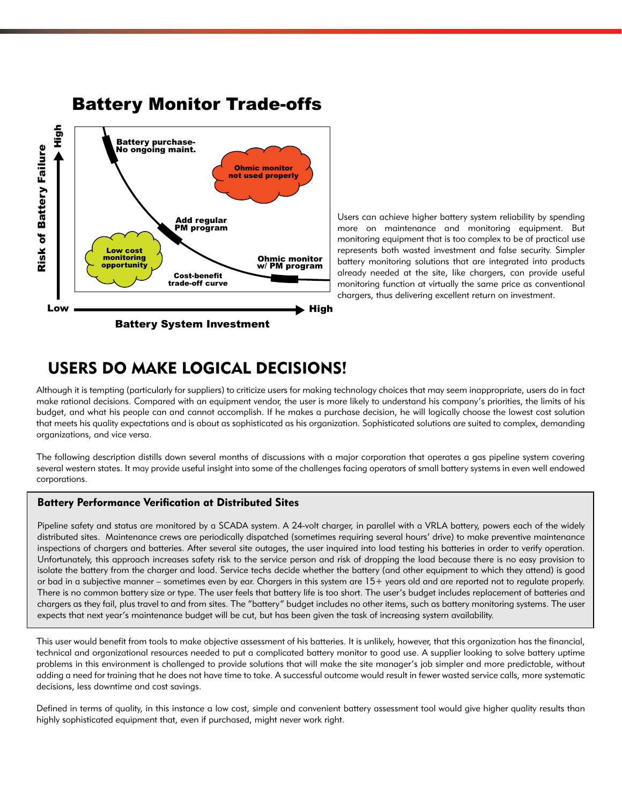

#### Users can achieve higher battery system reliability by spending more on maintenance and monitoring equipment. But monitoring equipment that is too complex to be of practical use represents both wasted investment and false security. Simpler battery monitoring solutions that are integrated into products already needed at the site, like chargers, can provide useful monitoring function at virtually the same price as conventional chargers, thus delivering excellent return on investment.

# USERS DO MAKE LOGICAL DECISIONS!

Although it is tempting (particularly for suppliers) to criticize users for making technology choices that may seem inappropriate, users do in fact make rational decisions. Compared with an equipment vendor, the user is more likely to understand his company's priorities, the limits of his budget, and what his people can and cannot accomplish. If he makes a purchase decision, he will logically choose the lowest cost solution that meets his quality expectations and is about as sophisticated as his organization. Sophisticated solutions are suited to complex, demanding organizations, and vice versa.

The following description distills down several months of discussions with a major corporation that operates a gas pipeline system covering several western states. It may provide useful insight into some of the challenges facing operators of small battery systems in even well endowed corporations.

#### Battery Performance Verification at Distributed Sites

Pipeline safety and status are monitored by a SCADA system. A 24-volt charger, in parallel with a VRLA battery, powers each of the widely distributed sites. Maintenance crews are periodically dispatched (sometimes requiring several hours' drive) to make preventive maintenance inspections of chargers and batteries. After several site outages, the user inquired into load testing his batteries in order to verify operation. Unfortunately, this approach increases safety risk to the service person and risk of dropping the load because there is no easy provision to isolate the battery from the charger and load. Service techs decide whether the battery (and other equipment to which they attend) is good or bad in a subjective manner – sometimes even by ear. Chargers in this system are 15+ years old and are reported not to regulate properly. There is no common battery size or type. The user feels that battery life is too short. The user's budget includes replacement of batteries and chargers as they fail, plus travel to and from sites. The "battery" budget includes no other items, such as battery monitoring systems. The user expects that next year's maintenance budget will be cut, but has been given the task of increasing system availability.

This user would benefit from tools to make objective assessment of his batteries. It is unlikely, however, that this organization has the financial, technical and organizational resources needed to put a complicated battery monitor to good use. A supplier looking to solve battery uptime problems in this environment is challenged to provide solutions that will make the site manager's job simpler and more predictable, without adding a need for training that he does not have time to take. A successful outcome would result in fewer wasted service calls, more systematic decisions, less downtime and cost savings.

Defined in terms of quality, in this instance a low cost, simple and convenient battery assessment tool would give higher quality results than highly sophisticated equipment that, even if purchased, might never work right.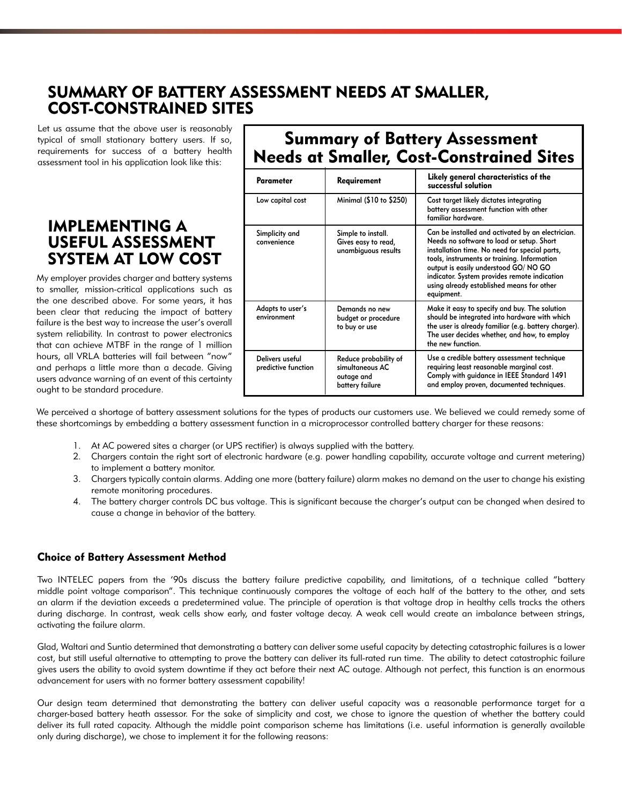# SUMMARY OF BATTERY ASSESSMENT NEEDS AT SMALLER, COST-CONSTRAINED SITES

Let us assume that the above user is reasonably typical of small stationary battery users. If so, requirements for success of a battery health assessment tool in his application look like this:

### IMPLEMENTING A USEFUL ASSESSMENT SYSTEM AT LOW COST

My employer provides charger and battery systems to smaller, mission-critical applications such as the one described above. For some years, it has been clear that reducing the impact of battery failure is the best way to increase the user's overall system reliability. In contrast to power electronics that can achieve MTBF in the range of 1 million hours, all VRLA batteries will fail between "now" and perhaps a little more than a decade. Giving users advance warning of an event of this certainty ought to be standard procedure.

# Summary of Battery Assessment Needs at Smaller, Cost-Constrained Sites

| <b>Parameter</b>                       | Requirement                                                               | Likely general characteristics of the<br>successful solution                                                                                                                                                                                                                                                                                      |
|----------------------------------------|---------------------------------------------------------------------------|---------------------------------------------------------------------------------------------------------------------------------------------------------------------------------------------------------------------------------------------------------------------------------------------------------------------------------------------------|
| Low capital cost                       | Minimal (\$10 to \$250)                                                   | Cost target likely dictates integrating<br>battery assessment function with other<br>familiar hardware.                                                                                                                                                                                                                                           |
| Simplicity and<br>convenience          | Simple to install.<br>Gives easy to read,<br>unambiguous results          | Can be installed and activated by an electrician.<br>Needs no software to load or setup. Short<br>installation time. No need for special parts,<br>tools, instruments or training. Information<br>output is easily understood GO/NO GO<br>indicator. System provides remote indication<br>using already established means for other<br>equipment. |
| Adapts to user's<br>environment        | Demands no new<br>budget or procedure<br>to buy or use                    | Make it easy to specify and buy. The solution<br>should be integrated into hardware with which<br>the user is already familiar (e.g. battery charger).<br>The user decides whether, and how, to employ<br>the new function.                                                                                                                       |
| Delivers useful<br>predictive function | Reduce probability of<br>simultaneous AC<br>outage and<br>battery failure | Use a credible battery assessment technique<br>requiring least reasonable marginal cost.<br>Comply with guidance in IEEE Standard 1491<br>and employ proven, documented techniques.                                                                                                                                                               |

We perceived a shortage of battery assessment solutions for the types of products our customers use. We believed we could remedy some of these shortcomings by embedding a battery assessment function in a microprocessor controlled battery charger for these reasons:

- At AC powered sites a charger (or UPS rectifier) is always supplied with the battery. 1.
- Chargers contain the right sort of electronic hardware (e.g. power handling capability, accurate voltage and current metering) 2. to implement a battery monitor.
- Chargers typically contain alarms. Adding one more (battery failure) alarm makes no demand on the user to change his existing 3. remote monitoring procedures.
- The battery charger controls DC bus voltage. This is significant because the charger's output can be changed when desired to 4. cause a change in behavior of the battery.

#### Choice of Battery Assessment Method

Two INTELEC papers from the '90s discuss the battery failure predictive capability, and limitations, of a technique called "battery middle point voltage comparison". This technique continuously compares the voltage of each half of the battery to the other, and sets an alarm if the deviation exceeds a predetermined value. The principle of operation is that voltage drop in healthy cells tracks the others during discharge. In contrast, weak cells show early, and faster voltage decay. A weak cell would create an imbalance between strings, activating the failure alarm.

Glad, Waltari and Suntio determined that demonstrating a battery can deliver some useful capacity by detecting catastrophic failures is a lower cost, but still useful alternative to attempting to prove the battery can deliver its full-rated run time. The ability to detect catastrophic failure gives users the ability to avoid system downtime if they act before their next AC outage. Although not perfect, this function is an enormous advancement for users with no former battery assessment capability!

Our design team determined that demonstrating the battery can deliver useful capacity was a reasonable performance target for a charger-based battery heath assessor. For the sake of simplicity and cost, we chose to ignore the question of whether the battery could deliver its full rated capacity. Although the middle point comparison scheme has limitations (i.e. useful information is generally available only during discharge), we chose to implement it for the following reasons: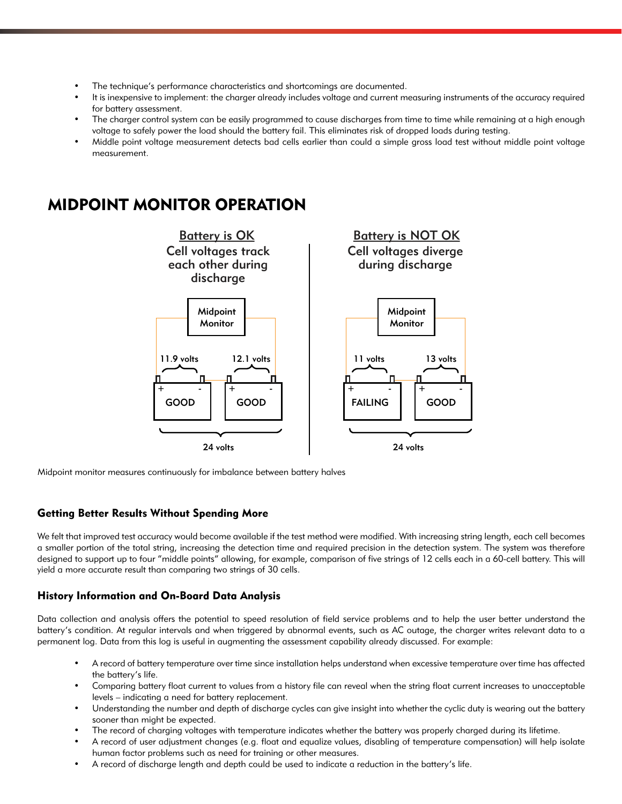- The technique's performance characteristics and shortcomings are documented. •
- It is inexpensive to implement: the charger already includes voltage and current measuring instruments of the accuracy required for battery assessment. •
- The charger control system can be easily programmed to cause discharges from time to time while remaining at a high enough voltage to safely power the load should the battery fail. This eliminates risk of dropped loads during testing. •
- Middle point voltage measurement detects bad cells earlier than could a simple gross load test without middle point voltage measurement. •

## MIDPOINT MONITOR OPERATION



Midpoint monitor measures continuously for imbalance between battery halves

#### Getting Better Results Without Spending More

We felt that improved test accuracy would become available if the test method were modified. With increasing string length, each cell becomes a smaller portion of the total string, increasing the detection time and required precision in the detection system. The system was therefore designed to support up to four "middle points" allowing, for example, comparison of five strings of 12 cells each in a 60-cell battery. This will yield a more accurate result than comparing two strings of 30 cells.

#### History Information and On-Board Data Analysis

Data collection and analysis offers the potential to speed resolution of field service problems and to help the user better understand the battery's condition. At regular intervals and when triggered by abnormal events, such as AC outage, the charger writes relevant data to a permanent log. Data from this log is useful in augmenting the assessment capability already discussed. For example:

- A record of battery temperature over time since installation helps understand when excessive temperature over time has affected the battery's life. •
- Comparing battery float current to values from a history file can reveal when the string float current increases to unacceptable levels – indicating a need for battery replacement. •
- Understanding the number and depth of discharge cycles can give insight into whether the cyclic duty is wearing out the battery sooner than might be expected. •
- The record of charging voltages with temperature indicates whether the battery was properly charged during its lifetime. •
- A record of user adjustment changes (e.g. float and equalize values, disabling of temperature compensation) will help isolate human factor problems such as need for training or other measures. •
- A record of discharge length and depth could be used to indicate a reduction in the battery's life. •